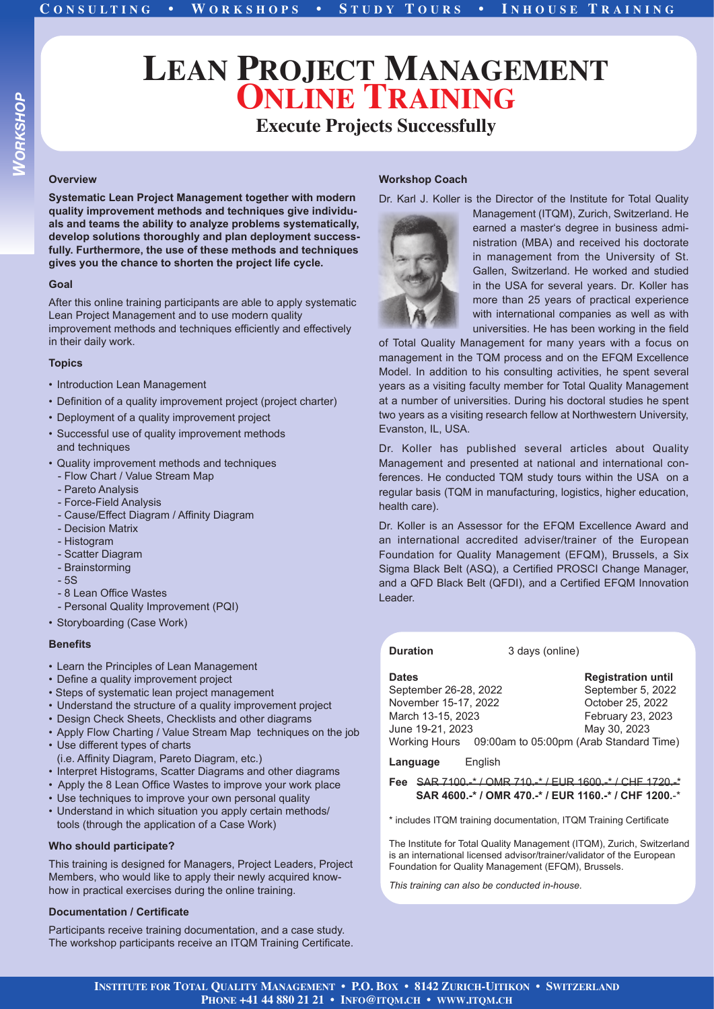# **LEAN PROJECT MANAGEMENT ONLINE TRAINING**

### **Execute Projects Successfully**

#### **Overview**

**Systematic Lean Project Management together with modern quality improvement methods and techniques give individuals and teams the ability to analyze problems systematically, develop solutions thoroughly and plan deployment successfully. Furthermore, the use of these methods and techniques gives you the chance to shorten the project life cycle.**

#### **Goal**

After this online training participants are able to apply systematic Lean Project Management and to use modern quality improvement methods and techniques efficiently and effectively in their daily work.

#### **Topics**

- Introduction Lean Management
- Definition of a quality improvement project (project charter)
- Deployment of a quality improvement project
- Successful use of quality improvement methods and techniques
- Quality improvement methods and techniques
- Flow Chart / Value Stream Map
- Pareto Analysis - Force-Field Analysis
- Cause/Effect Diagram / Affinity Diagram
- Decision Matrix
- Histogram
- Scatter Diagram
- Brainstorming
- 5S
- 8 Lean Office Wastes
- Personal Quality Improvement (PQI)
- Storyboarding (Case Work)

#### **Benefits**

- Learn the Principles of Lean Management
- Define a quality improvement project
- Steps of systematic lean project management
- Understand the structure of a quality improvement project
- Design Check Sheets, Checklists and other diagrams
- Apply Flow Charting / Value Stream Map techniques on the job • Use different types of charts
- (i.e. Affnity Diagram, Pareto Diagram, etc.)
- Interpret Histograms, Scatter Diagrams and other diagrams
- Apply the 8 Lean Office Wastes to improve your work place
- Use techniques to improve your own personal quality
- Understand in which situation you apply certain methods/ tools (through the application of a Case Work)

#### **Who should participate?**

This training is designed for Managers, Project Leaders, Project Members, who would like to apply their newly acquired knowhow in practical exercises during the online training.

#### **Documentation / Certificate**

Participants receive training documentation, and a case study. The workshop participants receive an ITQM Training Certificate.

#### **Workshop Coach**

Dr. Karl J. Koller is the Director of the Institute for Total Quality



Management (ITQM), Zurich, Switzerland. He earned a master's degree in business administration (MBA) and received his doctorate in management from the University of St. Gallen, Switzerland. He worked and studied in the USA for several years. Dr. Koller has more than 25 years of practical experience with international companies as well as with universities. He has been working in the field

of Total Quality Management for many years with a focus on management in the TQM process and on the EFQM Excellence Model. In addition to his consulting activities, he spent several years as a visiting faculty member for Total Quality Management at a number of universities. During his doctoral studies he spent two years as a visiting research fellow at Northwestern University, Evanston, IL, USA.

Dr. Koller has published several articles about Quality Management and presented at national and international conferences. He conducted TQM study tours within the USA on a regular basis (TQM in manufacturing, logistics, higher education, health care).

Dr. Koller is an Assessor for the EFQM Excellence Award and an international accredited adviser/trainer of the European Foundation for Quality Management (EFQM), Brussels, a Six Sigma Black Belt (ASQ), a Certified PROSCI Change Manager, and a QFD Black Belt (QFDI), and a Certified EFQM Innovation Leader.

**Duration** 3 days (online)

| <b>Registration until</b>                             |
|-------------------------------------------------------|
| September 5, 2022                                     |
| October 25, 2022                                      |
| February 23, 2023                                     |
| May 30, 2023                                          |
| Working Hours 09:00am to 05:00pm (Arab Standard Time) |
|                                                       |

**Language** English

**Fee** SAR 7100.-\* / OMR 710.-\* / EUR 1600.-\* / CHF 1720.-\*  **SAR 4600.-\* / OMR 470.-\* / EUR 1160.-\* / CHF 1200.**-\*

\* includes ITQM training documentation, ITQM Training Certificate

The Institute for Total Quality Management (ITQM), Zurich, Switzerland is an international licensed advisor/trainer/validator of the European Foundation for Quality Management (EFQM), Brussels.

*This training can also be conducted in-house.*